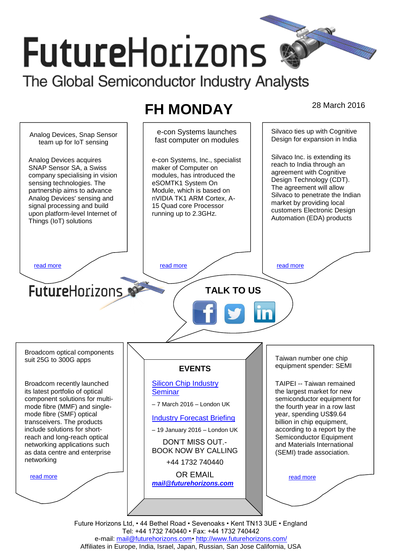# **FutureHorizons** The Global Semiconductor Industry Analysts

## **FH MONDAY** 28 March 2016



Tel: +44 1732 740440 • Fax: +44 1732 740442 e-mail: mail@futurehorizons.com• http://www.futurehorizons.com/ Affiliates in Europe, India, Israel, Japan, Russian, San Jose California, USA